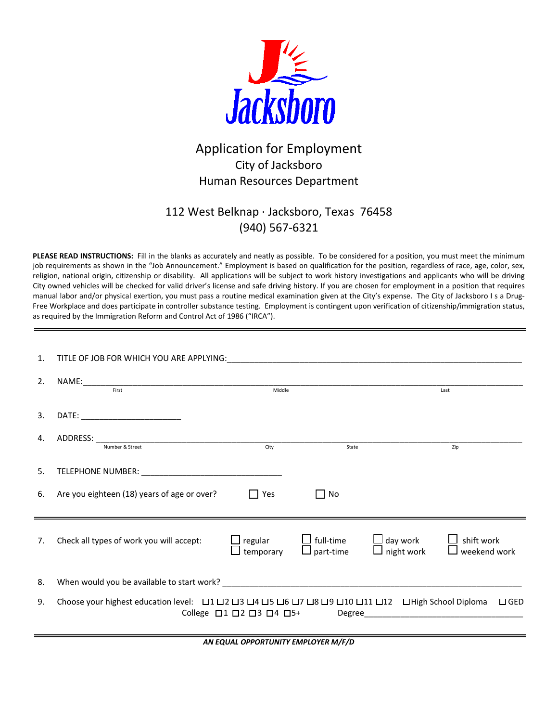

# Application for Employment City of Jacksboro Human Resources Department

## 112 West Belknap ∙ Jacksboro, Texas 76458 (940) 567‐6321

**PLEASE READ INSTRUCTIONS:** Fill in the blanks as accurately and neatly as possible. To be considered for a position, you must meet the minimum job requirements as shown in the "Job Announcement." Employment is based on qualification for the position, regardless of race, age, color, sex, religion, national origin, citizenship or disability. All applications will be subject to work history investigations and applicants who will be driving City owned vehicles will be checked for valid driver's license and safe driving history. If you are chosen for employment in a position that requires manual labor and/or physical exertion, you must pass a routine medical examination given at the City's expense. The City of Jacksboro I s a Drug-Free Workplace and does participate in controller substance testing. Employment is contingent upon verification of citizenship/immigration status, as required by the Immigration Reform and Control Act of 1986 ("IRCA").

| 1. |                                                                                                                                                                                                                               |                      |                                      |                                           |                                                                            |
|----|-------------------------------------------------------------------------------------------------------------------------------------------------------------------------------------------------------------------------------|----------------------|--------------------------------------|-------------------------------------------|----------------------------------------------------------------------------|
| 2. | First                                                                                                                                                                                                                         |                      | Last                                 |                                           |                                                                            |
| 3. | DATE: __________________________                                                                                                                                                                                              |                      |                                      |                                           |                                                                            |
| 4. | Number & Street                                                                                                                                                                                                               | City                 | State                                |                                           | Zip                                                                        |
|    |                                                                                                                                                                                                                               |                      |                                      |                                           |                                                                            |
| 5. | TELEPHONE NUMBER: University of the UNIVERSITY OF THE CONTROL CONTROL CONTROL CONTROL CONTROL CONTROL CONTROL CONTROL CONTROL CONTROL CONTROL CONTROL CONTROL CONTROL CONTROL CONTROL CONTROL CONTROL CONTROL CONTROL CONTROL |                      |                                      |                                           |                                                                            |
| 6. | Are you eighteen (18) years of age or over?                                                                                                                                                                                   | $\Box$ Yes           | $\Box$ No                            |                                           |                                                                            |
| 7. | Check all types of work you will accept:                                                                                                                                                                                      | regular<br>temporary | $\Box$ full-time<br>$\Box$ part-time | $\bigsqcup$ day work<br>$\Box$ night work | $\Box$ shift work<br>$\Box$ weekend work                                   |
| 8. |                                                                                                                                                                                                                               |                      |                                      |                                           |                                                                            |
| 9. | Choose your highest education level: $\Box$ 1 $\Box$ 2 $\Box$ 3 $\Box$ 4 $\Box$ 5 $\Box$ 6 $\Box$ 7 $\Box$ 8 $\Box$ 9 $\Box$ 10 $\Box$ 11 $\Box$ 12 $\Box$ High School Diploma                                                |                      |                                      |                                           | $\Box$ GED<br>College $\Box$ 1 $\Box$ 2 $\Box$ 3 $\Box$ 4 $\Box$ 5+ Degree |

*AN EQUAL OPPORTUNITY EMPLOYER M/F/D*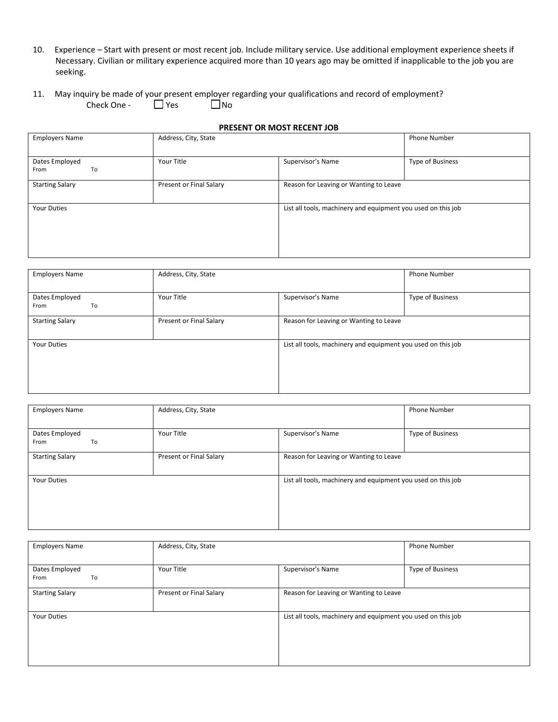- 10. Experience Start with present or most recent job. Include military service. Use additional employment experience sheets if Necessary. Civilian or military experience acquired more than 10 years ago may be omitted if inapplicable to the job you are seeking.
- 11. May inquiry be made of your present employer regarding your qualifications and record of employment?<br>Check One  $\Box$  Yes  $\Box$  No Check One -

#### **PRESENT OR MOST RECENT JOB**

| <b>Employers Name</b>        | Address, City, State    | <b>Phone Number</b>                                          |                  |  |  |  |
|------------------------------|-------------------------|--------------------------------------------------------------|------------------|--|--|--|
| Dates Employed<br>From<br>To | Your Title              | Supervisor's Name                                            | Type of Business |  |  |  |
| <b>Starting Salary</b>       | Present or Final Salary | Reason for Leaving or Wanting to Leave                       |                  |  |  |  |
| <b>Your Duties</b>           |                         | List all tools, machinery and equipment you used on this job |                  |  |  |  |

| <b>Employers Name</b>        | Address, City, State    |                                                              | <b>Phone Number</b> |  |  |  |  |  |
|------------------------------|-------------------------|--------------------------------------------------------------|---------------------|--|--|--|--|--|
| Dates Employed<br>From<br>To | Your Title              | Supervisor's Name                                            | Type of Business    |  |  |  |  |  |
| <b>Starting Salary</b>       | Present or Final Salary | Reason for Leaving or Wanting to Leave                       |                     |  |  |  |  |  |
| <b>Your Duties</b>           |                         | List all tools, machinery and equipment you used on this job |                     |  |  |  |  |  |

| <b>Employers Name</b>        | Address, City, State            | <b>Phone Number</b>                                          |                  |  |  |  |  |
|------------------------------|---------------------------------|--------------------------------------------------------------|------------------|--|--|--|--|
| Dates Employed<br>From<br>To | Supervisor's Name<br>Your Title |                                                              | Type of Business |  |  |  |  |
| <b>Starting Salary</b>       | Present or Final Salary         | Reason for Leaving or Wanting to Leave                       |                  |  |  |  |  |
| <b>Your Duties</b>           |                                 | List all tools, machinery and equipment you used on this job |                  |  |  |  |  |

| <b>Employers Name</b>        | Address, City, State    |                                                              | <b>Phone Number</b> |  |  |  |  |  |
|------------------------------|-------------------------|--------------------------------------------------------------|---------------------|--|--|--|--|--|
| Dates Employed<br>To<br>From | Your Title              | Supervisor's Name                                            | Type of Business    |  |  |  |  |  |
| <b>Starting Salary</b>       | Present or Final Salary | Reason for Leaving or Wanting to Leave                       |                     |  |  |  |  |  |
| <b>Your Duties</b>           |                         | List all tools, machinery and equipment you used on this job |                     |  |  |  |  |  |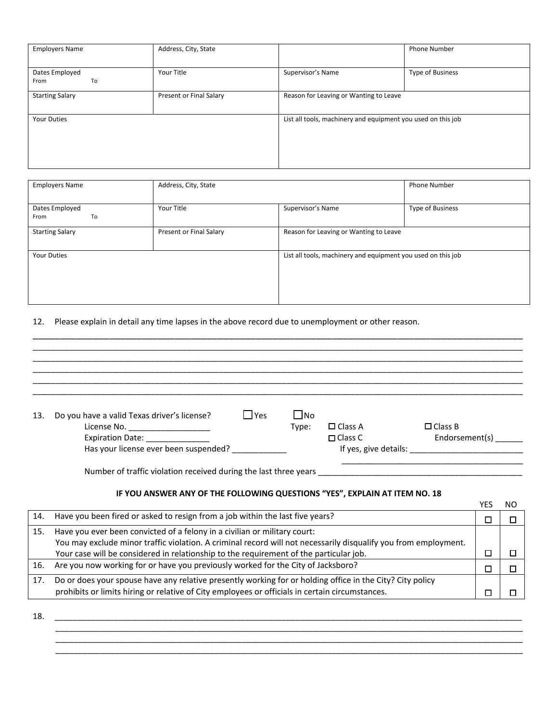| <b>Employers Name</b>        | Address, City, State    |                                                              | <b>Phone Number</b> |
|------------------------------|-------------------------|--------------------------------------------------------------|---------------------|
| Dates Employed<br>To<br>From | Your Title              | Supervisor's Name                                            | Type of Business    |
| <b>Starting Salary</b>       | Present or Final Salary | Reason for Leaving or Wanting to Leave                       |                     |
| <b>Your Duties</b>           |                         | List all tools, machinery and equipment you used on this job |                     |

| <b>Employers Name</b>        | Address, City, State            |                                                              | <b>Phone Number</b>     |  |  |  |  |
|------------------------------|---------------------------------|--------------------------------------------------------------|-------------------------|--|--|--|--|
| Dates Employed<br>To<br>From | Supervisor's Name<br>Your Title |                                                              | <b>Type of Business</b> |  |  |  |  |
| <b>Starting Salary</b>       | Present or Final Salary         | Reason for Leaving or Wanting to Leave                       |                         |  |  |  |  |
| <b>Your Duties</b>           |                                 | List all tools, machinery and equipment you used on this job |                         |  |  |  |  |

\_\_\_\_\_\_\_\_\_\_\_\_\_\_\_\_\_\_\_\_\_\_\_\_\_\_\_\_\_\_\_\_\_\_\_\_\_\_\_\_\_\_\_\_\_\_\_\_\_\_\_\_\_\_\_\_\_\_\_\_\_\_\_\_\_\_\_\_\_\_\_\_\_\_\_\_\_\_\_\_\_\_\_\_\_\_\_\_\_\_

## 12. Please explain in detail any time lapses in the above record due to unemployment or other reason.

| 13.                                   | l l Yes<br>Do you have a valid Texas driver's license?                                                          | l INo                            |                |                |   |  |  |
|---------------------------------------|-----------------------------------------------------------------------------------------------------------------|----------------------------------|----------------|----------------|---|--|--|
|                                       | License No. _______________________                                                                             | Type:                            | $\Box$ Class A | $\Box$ Class B |   |  |  |
|                                       | Expiration Date: _______________                                                                                | Endorsement(s)<br>$\Box$ Class C |                |                |   |  |  |
| Has your license ever been suspended? |                                                                                                                 |                                  |                |                |   |  |  |
|                                       |                                                                                                                 |                                  |                |                |   |  |  |
|                                       | IF YOU ANSWER ANY OF THE FOLLOWING QUESTIONS "YES", EXPLAIN AT ITEM NO. 18                                      |                                  |                |                |   |  |  |
|                                       |                                                                                                                 |                                  |                |                |   |  |  |
| 14.                                   | Have you been fired or asked to resign from a job within the last five years?                                   |                                  |                |                |   |  |  |
| 15.                                   | Have you ever been convicted of a felony in a civilian or military court:                                       |                                  |                |                |   |  |  |
|                                       | You may exclude minor traffic violation. A criminal record will not necessarily disqualify you from employment. |                                  |                |                |   |  |  |
|                                       | Your case will be considered in relationship to the requirement of the particular job                           |                                  |                |                | П |  |  |

|     | Your case will be considered in relationship to the requirement of the particular job.                    |  |
|-----|-----------------------------------------------------------------------------------------------------------|--|
|     | 16. Are you now working for or have you previously worked for the City of Jacksboro?                      |  |
| 17. | Do or does your spouse have any relative presently working for or holding office in the City? City policy |  |
|     | prohibits or limits hiring or relative of City employees or officials in certain circumstances.           |  |

 \_\_\_\_\_\_\_\_\_\_\_\_\_\_\_\_\_\_\_\_\_\_\_\_\_\_\_\_\_\_\_\_\_\_\_\_\_\_\_\_\_\_\_\_\_\_\_\_\_\_\_\_\_\_\_\_\_\_\_\_\_\_\_\_\_\_\_\_\_\_\_\_\_\_\_\_\_\_\_\_\_\_\_\_\_\_\_\_\_\_\_\_\_\_\_\_\_\_\_\_\_\_\_ \_\_\_\_\_\_\_\_\_\_\_\_\_\_\_\_\_\_\_\_\_\_\_\_\_\_\_\_\_\_\_\_\_\_\_\_\_\_\_\_\_\_\_\_\_\_\_\_\_\_\_\_\_\_\_\_\_\_\_\_\_\_\_\_\_\_\_\_\_\_\_\_\_\_\_\_\_\_\_\_\_\_\_\_\_\_\_\_\_\_\_\_\_\_\_\_\_\_\_\_\_\_\_ \_\_\_\_\_\_\_\_\_\_\_\_\_\_\_\_\_\_\_\_\_\_\_\_\_\_\_\_\_\_\_\_\_\_\_\_\_\_\_\_\_\_\_\_\_\_\_\_\_\_\_\_\_\_\_\_\_\_\_\_\_\_\_\_\_\_\_\_\_\_\_\_\_\_\_\_\_\_\_\_\_\_\_\_\_\_\_\_\_\_\_\_\_\_\_\_\_\_\_\_\_\_\_

18. \_\_\_\_\_\_\_\_\_\_\_\_\_\_\_\_\_\_\_\_\_\_\_\_\_\_\_\_\_\_\_\_\_\_\_\_\_\_\_\_\_\_\_\_\_\_\_\_\_\_\_\_\_\_\_\_\_\_\_\_\_\_\_\_\_\_\_\_\_\_\_\_\_\_\_\_\_\_\_\_\_\_\_\_\_\_\_\_\_\_\_\_\_\_\_\_\_\_\_\_\_\_\_